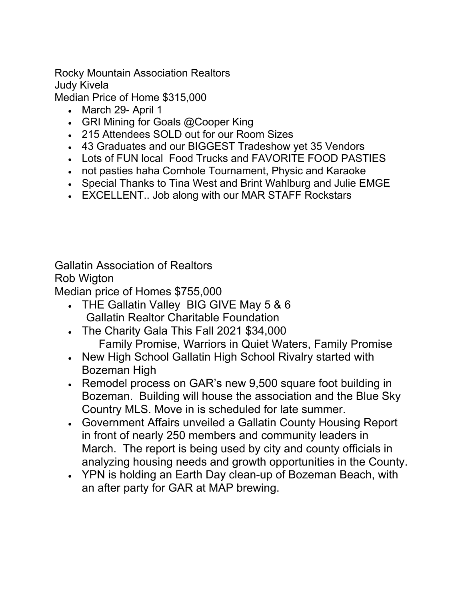Rocky Mountain Association Realtors Judy Kivela

Median Price of Home \$315,000

- March 29- April 1
- GRI Mining for Goals @Cooper King
- 215 Attendees SOLD out for our Room Sizes
- 43 Graduates and our BIGGEST Tradeshow yet 35 Vendors
- Lots of FUN local Food Trucks and FAVORITE FOOD PASTIES
- not pasties haha Cornhole Tournament, Physic and Karaoke
- Special Thanks to Tina West and Brint Wahlburg and Julie EMGE
- EXCELLENT.. Job along with our MAR STAFF Rockstars

Gallatin Association of Realtors Rob Wigton

Median price of Homes \$755,000

- THE Gallatin Valley BIG GIVE May 5 & 6 Gallatin Realtor Charitable Foundation
- The Charity Gala This Fall 2021 \$34,000 Family Promise, Warriors in Quiet Waters, Family Promise
- New High School Gallatin High School Rivalry started with Bozeman High
- Remodel process on GAR's new 9,500 square foot building in Bozeman. Building will house the association and the Blue Sky Country MLS. Move in is scheduled for late summer.
- Government Affairs unveiled a Gallatin County Housing Report in front of nearly 250 members and community leaders in March. The report is being used by city and county officials in analyzing housing needs and growth opportunities in the County.
- YPN is holding an Earth Day clean-up of Bozeman Beach, with an after party for GAR at MAP brewing.